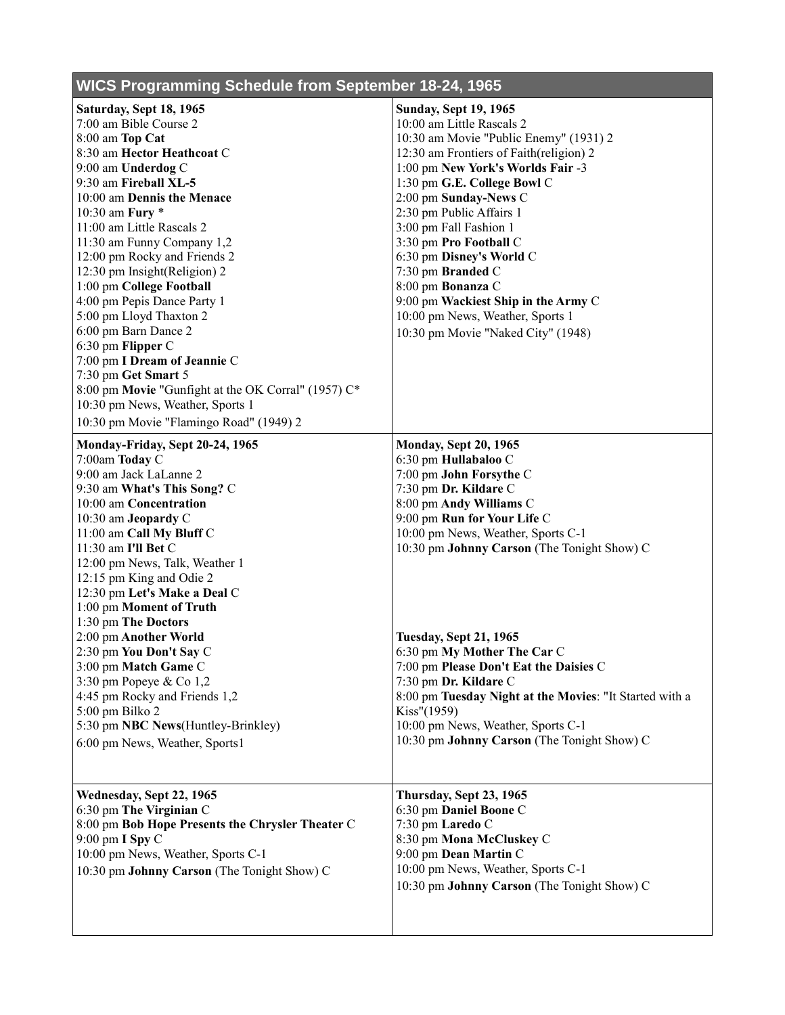## **WICS Programming Schedule from September 18-24, 1965**

| Saturday, Sept 18, 1965                             | <b>Sunday, Sept 19, 1965</b>                            |
|-----------------------------------------------------|---------------------------------------------------------|
| 7:00 am Bible Course 2                              | 10:00 am Little Rascals 2                               |
| 8:00 am Top Cat                                     | 10:30 am Movie "Public Enemy" (1931) 2                  |
| 8:30 am Hector Heathcoat C                          | 12:30 am Frontiers of Faith(religion) 2                 |
| 9:00 am Underdog C                                  | 1:00 pm New York's Worlds Fair -3                       |
| 9:30 am Fireball XL-5                               | 1:30 pm G.E. College Bowl C                             |
| 10:00 am Dennis the Menace                          | 2:00 pm Sunday-News C                                   |
| 10:30 am Fury *                                     | 2:30 pm Public Affairs 1                                |
| 11:00 am Little Rascals 2                           | 3:00 pm Fall Fashion 1                                  |
| 11:30 am Funny Company 1,2                          | 3:30 pm Pro Football C                                  |
| 12:00 pm Rocky and Friends 2                        | 6:30 pm Disney's World C                                |
| 12:30 pm Insight(Religion) 2                        | 7:30 pm Branded C                                       |
| 1:00 pm College Football                            | 8:00 pm Bonanza C                                       |
| 4:00 pm Pepis Dance Party 1                         | 9:00 pm Wackiest Ship in the Army C                     |
| 5:00 pm Lloyd Thaxton 2                             | 10:00 pm News, Weather, Sports 1                        |
| 6:00 pm Barn Dance 2                                | 10:30 pm Movie "Naked City" (1948)                      |
| 6:30 pm Flipper C                                   |                                                         |
| 7:00 pm I Dream of Jeannie C                        |                                                         |
| 7:30 pm Get Smart 5                                 |                                                         |
| 8:00 pm Movie "Gunfight at the OK Corral" (1957) C* |                                                         |
| 10:30 pm News, Weather, Sports 1                    |                                                         |
| 10:30 pm Movie "Flamingo Road" (1949) 2             |                                                         |
|                                                     |                                                         |
| Monday-Friday, Sept 20-24, 1965                     | <b>Monday, Sept 20, 1965</b>                            |
| 7:00am Today C                                      | 6:30 pm Hullabaloo C                                    |
| 9:00 am Jack LaLanne 2                              | 7:00 pm John Forsythe C                                 |
| 9:30 am What's This Song? C                         | 7:30 pm Dr. Kildare C                                   |
| 10:00 am Concentration                              | 8:00 pm Andy Williams C                                 |
| 10:30 am Jeopardy C                                 | 9:00 pm Run for Your Life C                             |
| 11:00 am Call My Bluff C                            | 10:00 pm News, Weather, Sports C-1                      |
| 11:30 am I'll Bet C                                 | 10:30 pm Johnny Carson (The Tonight Show) C             |
| 12:00 pm News, Talk, Weather 1                      |                                                         |
| 12:15 pm King and Odie 2                            |                                                         |
| 12:30 pm Let's Make a Deal C                        |                                                         |
| 1:00 pm Moment of Truth                             |                                                         |
| 1:30 pm The Doctors                                 |                                                         |
| 2:00 pm Another World                               | <b>Tuesday, Sept 21, 1965</b>                           |
| 2:30 pm You Don't Say C                             | 6:30 pm My Mother The Car C                             |
| 3:00 pm Match Game C                                | 7:00 pm Please Don't Eat the Daisies C                  |
| 3:30 pm Popeye & Co 1,2                             | 7:30 pm Dr. Kildare C                                   |
| 4:45 pm Rocky and Friends 1,2                       | 8:00 pm Tuesday Night at the Movies: "It Started with a |
| 5:00 pm Bilko 2                                     | Kiss''(1959)                                            |
| 5:30 pm NBC News(Huntley-Brinkley)                  | 10:00 pm News, Weather, Sports C-1                      |
| 6:00 pm News, Weather, Sports1                      | 10:30 pm Johnny Carson (The Tonight Show) C             |
|                                                     |                                                         |
|                                                     |                                                         |
| Wednesday, Sept 22, 1965                            | Thursday, Sept 23, 1965                                 |
| 6:30 pm The Virginian C                             | 6:30 pm Daniel Boone C                                  |
| 8:00 pm Bob Hope Presents the Chrysler Theater C    | 7:30 pm Laredo C                                        |
| 9:00 pm I Spy C                                     | 8:30 pm Mona McCluskey C                                |
| 10:00 pm News, Weather, Sports C-1                  | 9:00 pm Dean Martin C                                   |
| 10:30 pm Johnny Carson (The Tonight Show) C         | 10:00 pm News, Weather, Sports C-1                      |
|                                                     | 10:30 pm Johnny Carson (The Tonight Show) C             |
|                                                     |                                                         |
|                                                     |                                                         |
|                                                     |                                                         |